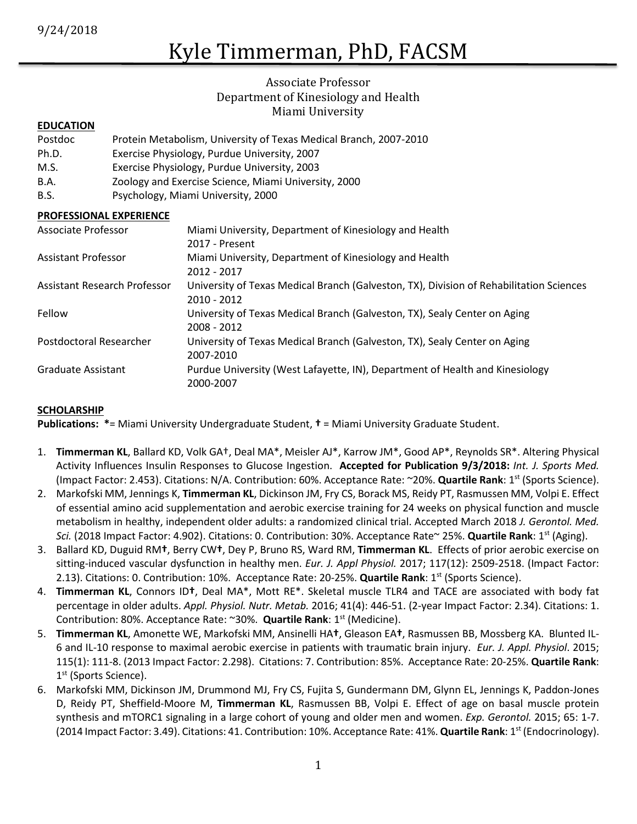# Kyle Timmerman, PhD, FACSM

# Associate Professor Department of Kinesiology and Health Miami University

#### **EDUCATION**

- Postdoc Protein Metabolism, University of Texas Medical Branch, 2007-2010
- Ph.D. Exercise Physiology, Purdue University, 2007
- M.S. Exercise Physiology, Purdue University, 2003
- B.A. Zoology and Exercise Science, Miami University, 2000
- B.S. Psychology, Miami University, 2000

#### **PROFESSIONAL EXPERIENCE**

| Associate Professor          | Miami University, Department of Kinesiology and Health                                  |
|------------------------------|-----------------------------------------------------------------------------------------|
|                              | 2017 - Present                                                                          |
| <b>Assistant Professor</b>   | Miami University, Department of Kinesiology and Health                                  |
|                              | 2012 - 2017                                                                             |
| Assistant Research Professor | University of Texas Medical Branch (Galveston, TX), Division of Rehabilitation Sciences |
|                              | 2010 - 2012                                                                             |
| Fellow                       | University of Texas Medical Branch (Galveston, TX), Sealy Center on Aging               |
|                              | 2008 - 2012                                                                             |
| Postdoctoral Researcher      | University of Texas Medical Branch (Galveston, TX), Sealy Center on Aging               |
|                              | 2007-2010                                                                               |
| Graduate Assistant           | Purdue University (West Lafayette, IN), Department of Health and Kinesiology            |
|                              | 2000-2007                                                                               |

#### **SCHOLARSHIP**

**Publications: \***= Miami University Undergraduate Student, **†** = Miami University Graduate Student.

- 1. **Timmerman KL**, Ballard KD, Volk GA†, Deal MA\*, Meisler AJ\*, Karrow JM\*, Good AP\*, Reynolds SR\*. Altering Physical Activity Influences Insulin Responses to Glucose Ingestion. **Accepted for Publication 9/3/2018:** *Int. J. Sports Med.* (Impact Factor: 2.453). Citations: N/A. Contribution: 60%. Acceptance Rate: ~20%. **Quartile Rank**: 1st (Sports Science).
- 2. Markofski MM, Jennings K, **Timmerman KL**, Dickinson JM, Fry CS, Borack MS, Reidy PT, Rasmussen MM, Volpi E. Effect of essential amino acid supplementation and aerobic exercise training for 24 weeks on physical function and muscle metabolism in healthy, independent older adults: a randomized clinical trial. Accepted March 2018 *J. Gerontol. Med. Sci.* (2018 Impact Factor: 4.902). Citations: 0. Contribution: 30%. Acceptance Rate~ 25%. **Quartile Rank**: 1st (Aging).
- 3. Ballard KD, Duguid RM**†**, Berry CW**†**, Dey P, Bruno RS, Ward RM, **Timmerman KL**. Effects of prior aerobic exercise on sitting-induced vascular dysfunction in healthy men. *Eur. J. Appl Physiol.* 2017; 117(12): 2509-2518. (Impact Factor: 2.13). Citations: 0. Contribution: 10%. Acceptance Rate: 20-25%. **Quartile Rank**: 1st (Sports Science).
- 4. **Timmerman KL**, Connors ID**†**, Deal MA\*, Mott RE\*. Skeletal muscle TLR4 and TACE are associated with body fat percentage in older adults. *Appl. Physiol. Nutr. Metab.* 2016; 41(4): 446-51. (2-year Impact Factor: 2.34). Citations: 1. Contribution: 80%. Acceptance Rate: ~30%. **Quartile Rank**: 1st (Medicine).
- 5. **Timmerman KL**, Amonette WE, Markofski MM, Ansinelli HA**†**, Gleason EA**†**, Rasmussen BB, Mossberg KA. Blunted IL-6 and IL-10 response to maximal aerobic exercise in patients with traumatic brain injury. *Eur. J. Appl. Physiol*. 2015; 115(1): 111-8. (2013 Impact Factor: 2.298). Citations: 7. Contribution: 85%. Acceptance Rate: 20-25%. **Quartile Rank**: 1<sup>st</sup> (Sports Science).
- 6. Markofski MM, Dickinson JM, Drummond MJ, Fry CS, Fujita S, Gundermann DM, Glynn EL, Jennings K, Paddon-Jones D, Reidy PT, Sheffield-Moore M, **Timmerman KL**, Rasmussen BB, Volpi E. Effect of age on basal muscle protein synthesis and mTORC1 signaling in a large cohort of young and older men and women. *Exp. Gerontol.* 2015; 65: 1-7. (2014 Impact Factor: 3.49). Citations: 41. Contribution: 10%. Acceptance Rate: 41%. **Quartile Rank**: 1st (Endocrinology).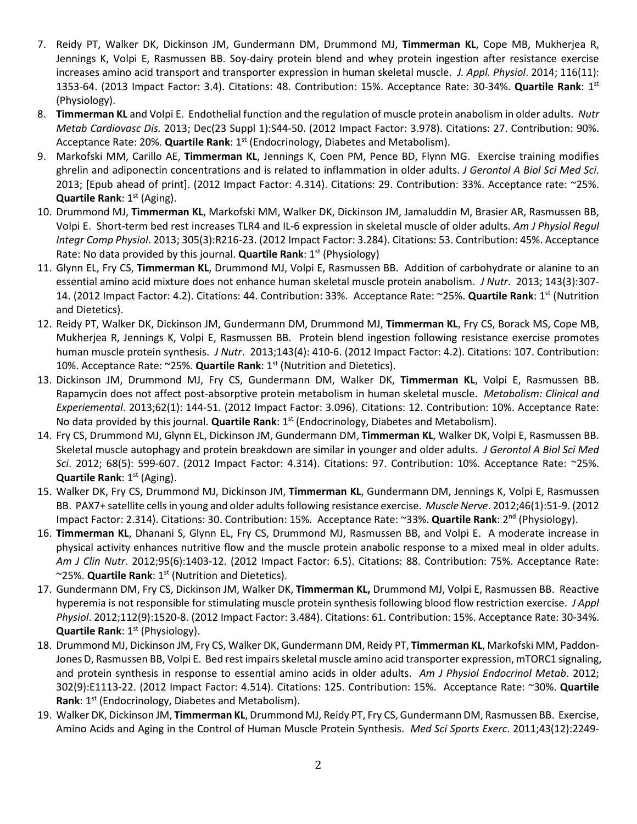- 7. Reidy PT, Walker DK, Dickinson JM, Gundermann DM, Drummond MJ, **Timmerman KL**, Cope MB, Mukherjea R, Jennings K, Volpi E, Rasmussen BB. Soy-dairy protein blend and whey protein ingestion after resistance exercise increases amino acid transport and transporter expression in human skeletal muscle. *J. Appl. Physiol*. 2014; 116(11): 1353-64. (2013 Impact Factor: 3.4). Citations: 48. Contribution: 15%. Acceptance Rate: 30-34%. **Quartile Rank**: 1st (Physiology).
- 8. **Timmerman KL** and Volpi E. Endothelial function and the regulation of muscle protein anabolism in older adults. *Nutr Metab Cardiovasc Dis.* 2013; Dec(23 Suppl 1):S44-50. (2012 Impact Factor: 3.978). Citations: 27. Contribution: 90%. Acceptance Rate: 20%. **Quartile Rank**: 1<sup>st</sup> (Endocrinology, Diabetes and Metabolism).
- 9. Markofski MM, Carillo AE, **Timmerman KL**, Jennings K, Coen PM, Pence BD, Flynn MG. Exercise training modifies ghrelin and adiponectin concentrations and is related to inflammation in older adults. *J Gerontol A Biol Sci Med Sci*. 2013; [Epub ahead of print]. (2012 Impact Factor: 4.314). Citations: 29. Contribution: 33%. Acceptance rate: ~25%. **Quartile Rank**: 1<sup>st</sup> (Aging).
- 10. Drummond MJ, **Timmerman KL**, Markofski MM, Walker DK, Dickinson JM, Jamaluddin M, Brasier AR, Rasmussen BB, Volpi E. Short-term bed rest increases TLR4 and IL-6 expression in skeletal muscle of older adults. *Am J Physiol Regul Integr Comp Physiol*. 2013; 305(3):R216-23. (2012 Impact Factor: 3.284). Citations: 53. Contribution: 45%. Acceptance Rate: No data provided by this journal. **Quartile Rank**: 1<sup>st</sup> (Physiology)
- 11. Glynn EL, Fry CS, **Timmerman KL**, Drummond MJ, Volpi E, Rasmussen BB. Addition of carbohydrate or alanine to an essential amino acid mixture does not enhance human skeletal muscle protein anabolism. *J Nutr*. 2013; 143(3):307- 14. (2012 Impact Factor: 4.2). Citations: 44. Contribution: 33%. Acceptance Rate: ~25%. **Quartile Rank**: 1st (Nutrition and Dietetics).
- 12. Reidy PT, Walker DK, Dickinson JM, Gundermann DM, Drummond MJ, **Timmerman KL**, Fry CS, Borack MS, Cope MB, Mukherjea R, Jennings K, Volpi E, Rasmussen BB. Protein blend ingestion following resistance exercise promotes human muscle protein synthesis. *J Nutr*. 2013;143(4): 410-6. (2012 Impact Factor: 4.2). Citations: 107. Contribution: 10%. Acceptance Rate: ~25%. Quartile Rank: 1<sup>st</sup> (Nutrition and Dietetics).
- 13. Dickinson JM, Drummond MJ, Fry CS, Gundermann DM, Walker DK, **Timmerman KL**, Volpi E, Rasmussen BB. Rapamycin does not affect post-absorptive protein metabolism in human skeletal muscle. *Metabolism: Clinical and Experiemental*. 2013;62(1): 144-51. (2012 Impact Factor: 3.096). Citations: 12. Contribution: 10%. Acceptance Rate: No data provided by this journal. **Quartile Rank**: 1st (Endocrinology, Diabetes and Metabolism).
- 14. Fry CS, Drummond MJ, Glynn EL, Dickinson JM, Gundermann DM, **Timmerman KL**, Walker DK, Volpi E, Rasmussen BB. Skeletal muscle autophagy and protein breakdown are similar in younger and older adults. *J Gerontol A Biol Sci Med Sci*. 2012; 68(5): 599-607. (2012 Impact Factor: 4.314). Citations: 97. Contribution: 10%. Acceptance Rate: ~25%. **Quartile Rank**: 1<sup>st</sup> (Aging).
- 15. Walker DK, Fry CS, Drummond MJ, Dickinson JM, **Timmerman KL**, Gundermann DM, Jennings K, Volpi E, Rasmussen BB. PAX7+ satellite cells in young and older adults following resistance exercise. *Muscle Nerve*. 2012;46(1):51-9. (2012 Impact Factor: 2.314). Citations: 30. Contribution: 15%. Acceptance Rate: ~33%. **Quartile Rank**: 2nd (Physiology).
- 16. **Timmerman KL**, Dhanani S, Glynn EL, Fry CS, Drummond MJ, Rasmussen BB, and Volpi E. A moderate increase in physical activity enhances nutritive flow and the muscle protein anabolic response to a mixed meal in older adults. *Am J Clin Nutr*. 2012;95(6):1403-12. (2012 Impact Factor: 6.5). Citations: 88. Contribution: 75%. Acceptance Rate: ~25%. **Quartile Rank**: 1st (Nutrition and Dietetics).
- 17. Gundermann DM, Fry CS, Dickinson JM, Walker DK, **Timmerman KL,** Drummond MJ, Volpi E, Rasmussen BB. Reactive hyperemia is not responsible for stimulating muscle protein synthesis following blood flow restriction exercise. *J Appl Physiol*. 2012;112(9):1520-8. (2012 Impact Factor: 3.484). Citations: 61. Contribution: 15%. Acceptance Rate: 30-34%. **Quartile Rank**: 1<sup>st</sup> (Physiology).
- 18. Drummond MJ, Dickinson JM, Fry CS, Walker DK, Gundermann DM, Reidy PT, **Timmerman KL**, Markofski MM, Paddon-Jones D, Rasmussen BB, Volpi E. Bed rest impairs skeletal muscle amino acid transporter expression, mTORC1 signaling, and protein synthesis in response to essential amino acids in older adults. *Am J Physiol Endocrinol Metab*. 2012; 302(9):E1113-22. (2012 Impact Factor: 4.514). Citations: 125. Contribution: 15%. Acceptance Rate: ~30%. **Quartile Rank**: 1<sup>st</sup> (Endocrinology, Diabetes and Metabolism).
- 19. Walker DK, Dickinson JM, **Timmerman KL**, Drummond MJ, Reidy PT, Fry CS, Gundermann DM, Rasmussen BB. Exercise, Amino Acids and Aging in the Control of Human Muscle Protein Synthesis. *Med Sci Sports Exerc*. 2011;43(12):2249-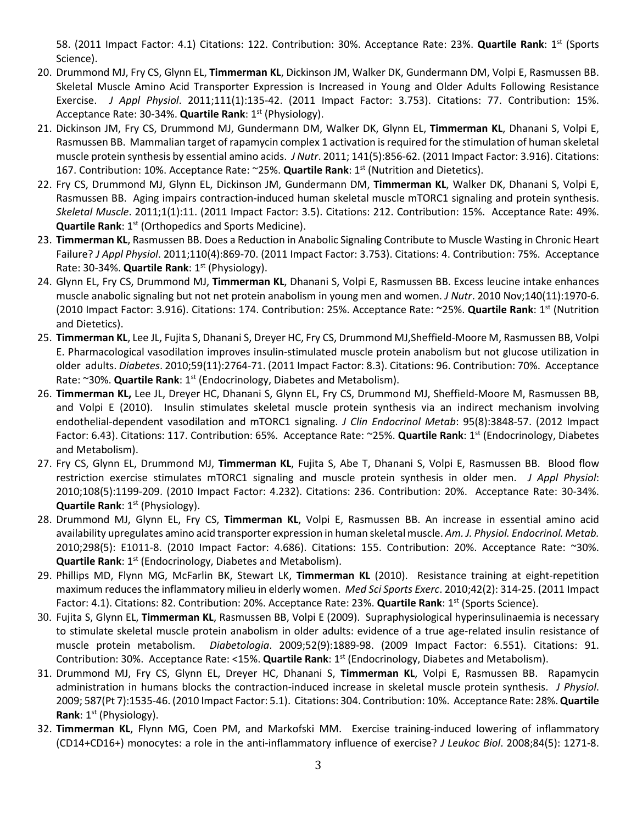58. (2011 Impact Factor: 4.1) Citations: 122. Contribution: 30%. Acceptance Rate: 23%. **Quartile Rank**: 1st (Sports Science).

- 20. Drummond MJ, Fry CS, Glynn EL, **Timmerman KL**, Dickinson JM, Walker DK, Gundermann DM, Volpi E, Rasmussen BB. Skeletal Muscle Amino Acid Transporter Expression is Increased in Young and Older Adults Following Resistance Exercise. *J Appl Physiol*. 2011;111(1):135-42. (2011 Impact Factor: 3.753). Citations: 77. Contribution: 15%. Acceptance Rate: 30-34%. **Quartile Rank**: 1<sup>st</sup> (Physiology).
- 21. Dickinson JM, Fry CS, Drummond MJ, Gundermann DM, Walker DK, Glynn EL, **Timmerman KL**, Dhanani S, Volpi E, Rasmussen BB. Mammalian target of rapamycin complex 1 activation is required for the stimulation of human skeletal muscle protein synthesis by essential amino acids. *J Nutr*. 2011; 141(5):856-62. (2011 Impact Factor: 3.916). Citations: 167. Contribution: 10%. Acceptance Rate: ~25%. **Quartile Rank**: 1<sup>st</sup> (Nutrition and Dietetics).
- 22. Fry CS, Drummond MJ, Glynn EL, Dickinson JM, Gundermann DM, **Timmerman KL**, Walker DK, Dhanani S, Volpi E, Rasmussen BB. Aging impairs contraction-induced human skeletal muscle mTORC1 signaling and protein synthesis. *Skeletal Muscle*. 2011;1(1):11. (2011 Impact Factor: 3.5). Citations: 212. Contribution: 15%. Acceptance Rate: 49%. **Quartile Rank: 1st (Orthopedics and Sports Medicine).**
- 23. **Timmerman KL**, Rasmussen BB. Does a Reduction in Anabolic Signaling Contribute to Muscle Wasting in Chronic Heart Failure? *J Appl Physiol*. 2011;110(4):869-70. (2011 Impact Factor: 3.753). Citations: 4. Contribution: 75%. Acceptance Rate: 30-34%. **Quartile Rank**: 1<sup>st</sup> (Physiology).
- 24. Glynn EL, Fry CS, Drummond MJ, **Timmerman KL**, Dhanani S, Volpi E, Rasmussen BB. Excess leucine intake enhances muscle anabolic signaling but not net protein anabolism in young men and women. *J Nutr*. 2010 Nov;140(11):1970-6. (2010 Impact Factor: 3.916). Citations: 174. Contribution: 25%. Acceptance Rate: ~25%. **Quartile Rank**: 1st (Nutrition and Dietetics).
- 25. **Timmerman KL**, Lee JL, Fujita S, Dhanani S, Dreyer HC, Fry CS, Drummond MJ,Sheffield-Moore M, Rasmussen BB, Volpi E. Pharmacological vasodilation improves insulin-stimulated muscle protein anabolism but not glucose utilization in older adults. *Diabetes*. 2010;59(11):2764-71. (2011 Impact Factor: 8.3). Citations: 96. Contribution: 70%. Acceptance Rate: ~30%. **Quartile Rank**: 1<sup>st</sup> (Endocrinology, Diabetes and Metabolism).
- 26. **Timmerman KL,** Lee JL, Dreyer HC, Dhanani S, Glynn EL, Fry CS, Drummond MJ, Sheffield-Moore M, Rasmussen BB, and Volpi E (2010). Insulin stimulates skeletal muscle protein synthesis via an indirect mechanism involving endothelial-dependent vasodilation and mTORC1 signaling. *J Clin Endocrinol Metab*: 95(8):3848-57. (2012 Impact Factor: 6.43). Citations: 117. Contribution: 65%. Acceptance Rate: ~25%. **Quartile Rank**: 1st (Endocrinology, Diabetes and Metabolism).
- 27. Fry CS, Glynn EL, Drummond MJ, **Timmerman KL**, Fujita S, Abe T, Dhanani S, Volpi E, Rasmussen BB. Blood flow restriction exercise stimulates mTORC1 signaling and muscle protein synthesis in older men. *J Appl Physiol*: 2010;108(5):1199-209. (2010 Impact Factor: 4.232). Citations: 236. Contribution: 20%. Acceptance Rate: 30-34%. **Quartile Rank**: 1<sup>st</sup> (Physiology).
- 28. Drummond MJ, Glynn EL, Fry CS, **Timmerman KL**, Volpi E, Rasmussen BB. An increase in essential amino acid availability upregulates amino acid transporter expression in human skeletal muscle. *Am. J. Physiol. Endocrinol. Metab.* 2010;298(5): E1011-8. (2010 Impact Factor: 4.686). Citations: 155. Contribution: 20%. Acceptance Rate: ~30%. **Quartile Rank**: 1<sup>st</sup> (Endocrinology, Diabetes and Metabolism).
- 29. Phillips MD, Flynn MG, McFarlin BK, Stewart LK, **Timmerman KL** (2010). Resistance training at eight-repetition maximum reduces the inflammatory milieu in elderly women. *Med Sci Sports Exerc*. 2010;42(2): 314-25. (2011 Impact Factor: 4.1). Citations: 82. Contribution: 20%. Acceptance Rate: 23%. **Quartile Rank**: 1<sup>st</sup> (Sports Science).
- 30. Fujita S, Glynn EL, **Timmerman KL**, Rasmussen BB, Volpi E (2009). Supraphysiological hyperinsulinaemia is necessary to stimulate skeletal muscle protein anabolism in older adults: evidence of a true age-related insulin resistance of muscle protein metabolism. *Diabetologia*. 2009;52(9):1889-98. (2009 Impact Factor: 6.551). Citations: 91. Contribution: 30%. Acceptance Rate: <15%. **Quartile Rank**: 1st (Endocrinology, Diabetes and Metabolism).
- 31. Drummond MJ, Fry CS, Glynn EL, Dreyer HC, Dhanani S, **Timmerman KL**, Volpi E, Rasmussen BB. Rapamycin administration in humans blocks the contraction-induced increase in skeletal muscle protein synthesis. *J Physiol*. 2009; 587(Pt 7):1535-46. (2010 Impact Factor: 5.1). Citations: 304. Contribution: 10%. Acceptance Rate: 28%.**Quartile Rank**: 1<sup>st</sup> (Physiology).
- 32. **Timmerman KL**, Flynn MG, Coen PM, and Markofski MM. Exercise training-induced lowering of inflammatory (CD14+CD16+) monocytes: a role in the anti-inflammatory influence of exercise? *J Leukoc Biol*. 2008;84(5): 1271-8.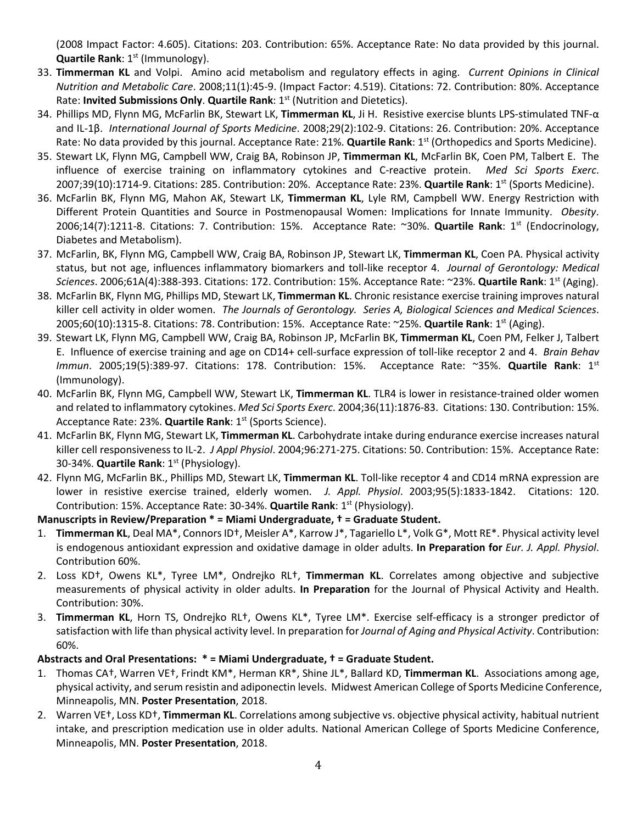(2008 Impact Factor: 4.605). Citations: 203. Contribution: 65%. Acceptance Rate: No data provided by this journal. **Quartile Rank**: 1<sup>st</sup> (Immunology).

- 33. **Timmerman KL** and Volpi. Amino acid metabolism and regulatory effects in aging. *Current Opinions in Clinical Nutrition and Metabolic Care*. 2008;11(1):45-9. (Impact Factor: 4.519). Citations: 72. Contribution: 80%. Acceptance Rate: **Invited Submissions Only**. **Quartile Rank**: 1st (Nutrition and Dietetics).
- 34. Phillips MD, Flynn MG, McFarlin BK, Stewart LK, **Timmerman KL**, Ji H. Resistive exercise blunts LPS-stimulated TNF-α and IL-1β. *International Journal of Sports Medicine*. 2008;29(2):102-9. Citations: 26. Contribution: 20%. Acceptance Rate: No data provided by this journal. Acceptance Rate: 21%. **Quartile Rank**: 1<sup>st</sup> (Orthopedics and Sports Medicine).
- 35. Stewart LK, Flynn MG, Campbell WW, Craig BA, Robinson JP, **Timmerman KL**, McFarlin BK, Coen PM, Talbert E. The influence of exercise training on inflammatory cytokines and C-reactive protein. *Med Sci Sports Exerc*. 2007;39(10):1714-9. Citations: 285. Contribution: 20%. Acceptance Rate: 23%. **Quartile Rank**: 1st (Sports Medicine).
- 36. McFarlin BK, Flynn MG, Mahon AK, Stewart LK, **Timmerman KL**, Lyle RM, Campbell WW. Energy Restriction with Different Protein Quantities and Source in Postmenopausal Women: Implications for Innate Immunity. *Obesity*. 2006;14(7):1211-8. Citations: 7. Contribution: 15%. Acceptance Rate: ~30%. **Quartile Rank**: 1st (Endocrinology, Diabetes and Metabolism).
- 37. McFarlin, BK, Flynn MG, Campbell WW, Craig BA, Robinson JP, Stewart LK, **Timmerman KL**, Coen PA. Physical activity status, but not age, influences inflammatory biomarkers and toll-like receptor 4. *Journal of Gerontology: Medical Sciences*. 2006;61A(4):388-393. Citations: 172. Contribution: 15%. Acceptance Rate: ~23%. **Quartile Rank**: 1st (Aging).
- 38. McFarlin BK, Flynn MG, Phillips MD, Stewart LK, **Timmerman KL**. Chronic resistance exercise training improves natural killer cell activity in older women. *The Journals of Gerontology. Series A, Biological Sciences and Medical Sciences*. 2005;60(10):1315-8. Citations: 78. Contribution: 15%. Acceptance Rate: ~25%. **Quartile Rank**: 1st (Aging).
- 39. Stewart LK, Flynn MG, Campbell WW, Craig BA, Robinson JP, McFarlin BK, **Timmerman KL**, Coen PM, Felker J, Talbert E. Influence of exercise training and age on CD14+ cell-surface expression of toll-like receptor 2 and 4. *Brain Behav Immun*. 2005;19(5):389-97. Citations: 178. Contribution: 15%. Acceptance Rate: ~35%. **Quartile Rank**: 1st (Immunology).
- 40. McFarlin BK, Flynn MG, Campbell WW, Stewart LK, **Timmerman KL**. TLR4 is lower in resistance-trained older women and related to inflammatory cytokines. *Med Sci Sports Exerc*. 2004;36(11):1876-83. Citations: 130. Contribution: 15%. Acceptance Rate: 23%. Quartile Rank: 1<sup>st</sup> (Sports Science).
- 41. McFarlin BK, Flynn MG, Stewart LK, **Timmerman KL**. Carbohydrate intake during endurance exercise increases natural killer cell responsiveness to IL-2. *J Appl Physiol*. 2004;96:271-275. Citations: 50. Contribution: 15%. Acceptance Rate: 30-34%. **Quartile Rank**: 1<sup>st</sup> (Physiology).
- 42. Flynn MG, McFarlin BK., Phillips MD, Stewart LK, **Timmerman KL**. Toll-like receptor 4 and CD14 mRNA expression are lower in resistive exercise trained, elderly women. *J. Appl. Physiol*. 2003;95(5):1833-1842. Citations: 120. Contribution: 15%. Acceptance Rate: 30-34%. **Quartile Rank**: 1st (Physiology).

# **Manuscripts in Review/Preparation \* = Miami Undergraduate, † = Graduate Student.**

- 1. **Timmerman KL**, Deal MA\*, Connors ID†, Meisler A\*, Karrow J\*, Tagariello L\*, Volk G\*, Mott RE\*. Physical activity level is endogenous antioxidant expression and oxidative damage in older adults. **In Preparation for** *Eur. J. Appl. Physiol*. Contribution 60%.
- 2. Loss KD†, Owens KL\*, Tyree LM\*, Ondrejko RL†, **Timmerman KL**. Correlates among objective and subjective measurements of physical activity in older adults. **In Preparation** for the Journal of Physical Activity and Health. Contribution: 30%.
- 3. **Timmerman KL**, Horn TS, Ondrejko RL†, Owens KL\*, Tyree LM\*. Exercise self-efficacy is a stronger predictor of satisfaction with life than physical activity level. In preparation for *Journal of Aging and Physical Activity*. Contribution: 60%.

# **Abstracts and Oral Presentations: \* = Miami Undergraduate, † = Graduate Student.**

- 1. Thomas CA†, Warren VE†, Frindt KM\*, Herman KR\*, Shine JL\*, Ballard KD, **Timmerman KL**. Associations among age, physical activity, and serum resistin and adiponectin levels. Midwest American College of Sports Medicine Conference, Minneapolis, MN. **Poster Presentation**, 2018.
- 2. Warren VE†, Loss KD†, **Timmerman KL**. Correlations among subjective vs. objective physical activity, habitual nutrient intake, and prescription medication use in older adults. National American College of Sports Medicine Conference, Minneapolis, MN. **Poster Presentation**, 2018.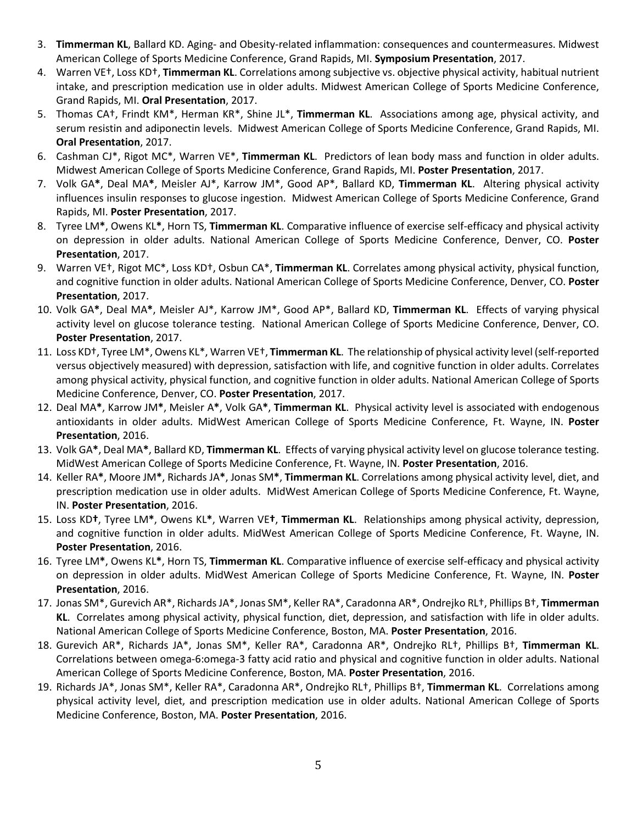- 3. **Timmerman KL**, Ballard KD. Aging- and Obesity-related inflammation: consequences and countermeasures. Midwest American College of Sports Medicine Conference, Grand Rapids, MI. **Symposium Presentation**, 2017.
- 4. Warren VE†, Loss KD†, **Timmerman KL**. Correlations among subjective vs. objective physical activity, habitual nutrient intake, and prescription medication use in older adults. Midwest American College of Sports Medicine Conference, Grand Rapids, MI. **Oral Presentation**, 2017.
- 5. Thomas CA†, Frindt KM\*, Herman KR\*, Shine JL\*, **Timmerman KL**. Associations among age, physical activity, and serum resistin and adiponectin levels. Midwest American College of Sports Medicine Conference, Grand Rapids, MI. **Oral Presentation**, 2017.
- 6. Cashman CJ\*, Rigot MC\*, Warren VE\*, **Timmerman KL**. Predictors of lean body mass and function in older adults. Midwest American College of Sports Medicine Conference, Grand Rapids, MI. **Poster Presentation**, 2017.
- 7. Volk GA**\***, Deal MA**\***, Meisler AJ\*, Karrow JM\*, Good AP\*, Ballard KD, **Timmerman KL**. Altering physical activity influences insulin responses to glucose ingestion. Midwest American College of Sports Medicine Conference, Grand Rapids, MI. **Poster Presentation**, 2017.
- 8. Tyree LM**\***, Owens KL**\***, Horn TS, **Timmerman KL**. Comparative influence of exercise self-efficacy and physical activity on depression in older adults. National American College of Sports Medicine Conference, Denver, CO. **Poster Presentation**, 2017.
- 9. Warren VE†, Rigot MC\*, Loss KD†, Osbun CA\*, **Timmerman KL**. Correlates among physical activity, physical function, and cognitive function in older adults. National American College of Sports Medicine Conference, Denver, CO. **Poster Presentation**, 2017.
- 10. Volk GA**\***, Deal MA**\***, Meisler AJ\*, Karrow JM\*, Good AP\*, Ballard KD, **Timmerman KL**. Effects of varying physical activity level on glucose tolerance testing. National American College of Sports Medicine Conference, Denver, CO. **Poster Presentation**, 2017.
- 11. Loss KD†, Tyree LM\*, Owens KL\*, Warren VE†, **Timmerman KL**. The relationship of physical activity level (self-reported versus objectively measured) with depression, satisfaction with life, and cognitive function in older adults. Correlates among physical activity, physical function, and cognitive function in older adults. National American College of Sports Medicine Conference, Denver, CO. **Poster Presentation**, 2017.
- 12. Deal MA**\***, Karrow JM**\***, Meisler A**\***, Volk GA**\***, **Timmerman KL**. Physical activity level is associated with endogenous antioxidants in older adults. MidWest American College of Sports Medicine Conference, Ft. Wayne, IN. **Poster Presentation**, 2016.
- 13. Volk GA**\***, Deal MA**\***, Ballard KD, **Timmerman KL**. Effects of varying physical activity level on glucose tolerance testing. MidWest American College of Sports Medicine Conference, Ft. Wayne, IN. **Poster Presentation**, 2016.
- 14. Keller RA**\***, Moore JM**\***, Richards JA**\***, Jonas SM**\***, **Timmerman KL**. Correlations among physical activity level, diet, and prescription medication use in older adults. MidWest American College of Sports Medicine Conference, Ft. Wayne, IN. **Poster Presentation**, 2016.
- 15. Loss KD**†**, Tyree LM**\***, Owens KL**\***, Warren VE**†**, **Timmerman KL**. Relationships among physical activity, depression, and cognitive function in older adults. MidWest American College of Sports Medicine Conference, Ft. Wayne, IN. **Poster Presentation**, 2016.
- 16. Tyree LM**\***, Owens KL**\***, Horn TS, **Timmerman KL**. Comparative influence of exercise self-efficacy and physical activity on depression in older adults. MidWest American College of Sports Medicine Conference, Ft. Wayne, IN. **Poster Presentation**, 2016.
- 17. Jonas SM\*, Gurevich AR\*, Richards JA\*, Jonas SM\*, Keller RA\*, Caradonna AR\*, Ondrejko RL†, Phillips B†, **Timmerman KL**. Correlates among physical activity, physical function, diet, depression, and satisfaction with life in older adults. National American College of Sports Medicine Conference, Boston, MA. **Poster Presentation**, 2016.
- 18. Gurevich AR\*, Richards JA\*, Jonas SM\*, Keller RA\*, Caradonna AR\*, Ondrejko RL†, Phillips B†, **Timmerman KL**. Correlations between omega-6:omega-3 fatty acid ratio and physical and cognitive function in older adults. National American College of Sports Medicine Conference, Boston, MA. **Poster Presentation**, 2016.
- 19. Richards JA\*, Jonas SM\*, Keller RA\*, Caradonna AR\*, Ondrejko RL†, Phillips B†, **Timmerman KL**. Correlations among physical activity level, diet, and prescription medication use in older adults. National American College of Sports Medicine Conference, Boston, MA. **Poster Presentation**, 2016.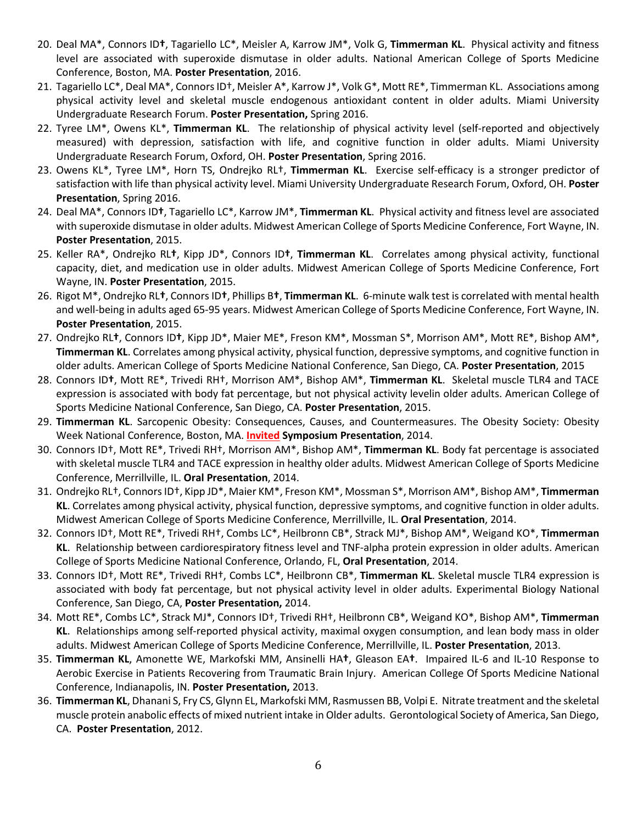- 20. Deal MA\*, Connors ID**†**, Tagariello LC\*, Meisler A, Karrow JM\*, Volk G, **Timmerman KL**. Physical activity and fitness level are associated with superoxide dismutase in older adults. National American College of Sports Medicine Conference, Boston, MA. **Poster Presentation**, 2016.
- 21. Tagariello LC\*, Deal MA\*, Connors ID†, Meisler A\*, Karrow J\*, Volk G\*, Mott RE\*, Timmerman KL. Associations among physical activity level and skeletal muscle endogenous antioxidant content in older adults. Miami University Undergraduate Research Forum. **Poster Presentation,** Spring 2016.
- 22. Tyree LM\*, Owens KL\*, **Timmerman KL**. The relationship of physical activity level (self-reported and objectively measured) with depression, satisfaction with life, and cognitive function in older adults. Miami University Undergraduate Research Forum, Oxford, OH. **Poster Presentation**, Spring 2016.
- 23. Owens KL\*, Tyree LM\*, Horn TS, Ondrejko RL†, **Timmerman KL**. Exercise self-efficacy is a stronger predictor of satisfaction with life than physical activity level. Miami University Undergraduate Research Forum, Oxford, OH. **Poster Presentation**, Spring 2016.
- 24. Deal MA\*, Connors ID**†**, Tagariello LC\*, Karrow JM\*, **Timmerman KL**. Physical activity and fitness level are associated with superoxide dismutase in older adults. Midwest American College of Sports Medicine Conference, Fort Wayne, IN. **Poster Presentation**, 2015.
- 25. Keller RA\*, Ondrejko RL**†**, Kipp JD\*, Connors ID**†**, **Timmerman KL**. Correlates among physical activity, functional capacity, diet, and medication use in older adults. Midwest American College of Sports Medicine Conference, Fort Wayne, IN. **Poster Presentation**, 2015.
- 26. Rigot M\*, Ondrejko RL**†**, Connors ID**†**, Phillips B**†**, **Timmerman KL**. 6-minute walk test is correlated with mental health and well-being in adults aged 65-95 years. Midwest American College of Sports Medicine Conference, Fort Wayne, IN. **Poster Presentation**, 2015.
- 27. Ondrejko RL**†**, Connors ID**†**, Kipp JD\*, Maier ME\*, Freson KM\*, Mossman S\*, Morrison AM\*, Mott RE\*, Bishop AM\*, **Timmerman KL**. Correlates among physical activity, physical function, depressive symptoms, and cognitive function in older adults. American College of Sports Medicine National Conference, San Diego, CA. **Poster Presentation**, 2015
- 28. Connors ID**†**, Mott RE\*, Trivedi RH†, Morrison AM\*, Bishop AM\*, **Timmerman KL**. Skeletal muscle TLR4 and TACE expression is associated with body fat percentage, but not physical activity levelin older adults. American College of Sports Medicine National Conference, San Diego, CA. **Poster Presentation**, 2015.
- 29. **Timmerman KL**. Sarcopenic Obesity: Consequences, Causes, and Countermeasures. The Obesity Society: Obesity Week National Conference, Boston, MA. **Invited Symposium Presentation**, 2014.
- 30. Connors ID†, Mott RE\*, Trivedi RH†, Morrison AM\*, Bishop AM\*, **Timmerman KL**. Body fat percentage is associated with skeletal muscle TLR4 and TACE expression in healthy older adults. Midwest American College of Sports Medicine Conference, Merrillville, IL. **Oral Presentation**, 2014.
- 31. Ondrejko RL†, Connors ID†, Kipp JD\*, Maier KM\*, Freson KM\*, Mossman S\*, Morrison AM\*, Bishop AM\*, **Timmerman KL**. Correlates among physical activity, physical function, depressive symptoms, and cognitive function in older adults. Midwest American College of Sports Medicine Conference, Merrillville, IL. **Oral Presentation**, 2014.
- 32. Connors ID†, Mott RE\*, Trivedi RH†, Combs LC\*, Heilbronn CB\*, Strack MJ\*, Bishop AM\*, Weigand KO\*, **Timmerman KL**. Relationship between cardiorespiratory fitness level and TNF-alpha protein expression in older adults. American College of Sports Medicine National Conference, Orlando, FL, **Oral Presentation**, 2014.
- 33. Connors ID†, Mott RE\*, Trivedi RH†, Combs LC\*, Heilbronn CB\*, **Timmerman KL**. Skeletal muscle TLR4 expression is associated with body fat percentage, but not physical activity level in older adults. Experimental Biology National Conference, San Diego, CA, **Poster Presentation,** 2014.
- 34. Mott RE\*, Combs LC\*, Strack MJ\*, Connors ID†, Trivedi RH†, Heilbronn CB\*, Weigand KO\*, Bishop AM\*, **Timmerman KL**. Relationships among self-reported physical activity, maximal oxygen consumption, and lean body mass in older adults. Midwest American College of Sports Medicine Conference, Merrillville, IL. **Poster Presentation**, 2013.
- 35. **Timmerman KL**, Amonette WE, Markofski MM, Ansinelli HA**†**, Gleason EA**†**. Impaired IL-6 and IL-10 Response to Aerobic Exercise in Patients Recovering from Traumatic Brain Injury. American College Of Sports Medicine National Conference, Indianapolis, IN. **Poster Presentation,** 2013.
- 36. **Timmerman KL**, Dhanani S, Fry CS, Glynn EL, Markofski MM, Rasmussen BB, Volpi E. Nitrate treatment and the skeletal muscle protein anabolic effects of mixed nutrient intake in Older adults. Gerontological Society of America, San Diego, CA. **Poster Presentation**, 2012.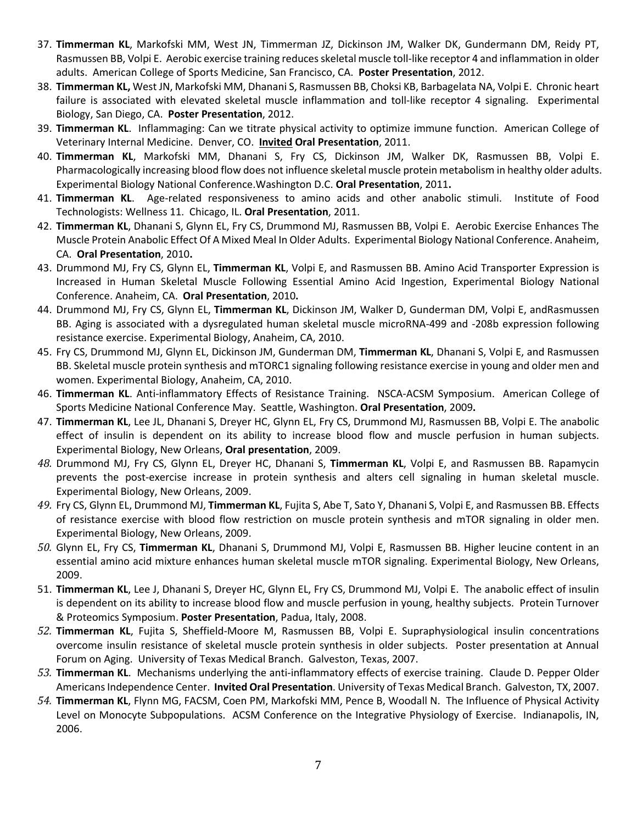- 37. **Timmerman KL**, Markofski MM, West JN, Timmerman JZ, Dickinson JM, Walker DK, Gundermann DM, Reidy PT, Rasmussen BB, Volpi E. Aerobic exercise training reduces skeletal muscle toll-like receptor 4 and inflammation in older adults. American College of Sports Medicine, San Francisco, CA. **Poster Presentation**, 2012.
- 38. **Timmerman KL,** West JN, Markofski MM, Dhanani S, Rasmussen BB, Choksi KB, Barbagelata NA, Volpi E. Chronic heart failure is associated with elevated skeletal muscle inflammation and toll-like receptor 4 signaling. Experimental Biology, San Diego, CA. **Poster Presentation**, 2012.
- 39. **Timmerman KL**. Inflammaging: Can we titrate physical activity to optimize immune function. American College of Veterinary Internal Medicine. Denver, CO. **Invited Oral Presentation**, 2011.
- 40. **Timmerman KL**, Markofski MM, Dhanani S, Fry CS, Dickinson JM, Walker DK, Rasmussen BB, Volpi E. Pharmacologically increasing blood flow does not influence skeletal muscle protein metabolism in healthy older adults. Experimental Biology National Conference.Washington D.C. **Oral Presentation**, 2011**.**
- 41. **Timmerman KL**. Age-related responsiveness to amino acids and other anabolic stimuli. Institute of Food Technologists: Wellness 11. Chicago, IL. **Oral Presentation**, 2011.
- 42. **Timmerman KL**, Dhanani S, Glynn EL, Fry CS, Drummond MJ, Rasmussen BB, Volpi E. Aerobic Exercise Enhances The Muscle Protein Anabolic Effect Of A Mixed Meal In Older Adults. Experimental Biology National Conference. Anaheim, CA. **Oral Presentation**, 2010**.**
- 43. Drummond MJ, Fry CS, Glynn EL, **Timmerman KL**, Volpi E, and Rasmussen BB. Amino Acid Transporter Expression is Increased in Human Skeletal Muscle Following Essential Amino Acid Ingestion, Experimental Biology National Conference. Anaheim, CA. **Oral Presentation**, 2010**.**
- 44. Drummond MJ, Fry CS, Glynn EL, **Timmerman KL**, Dickinson JM, Walker D, Gunderman DM, Volpi E, andRasmussen BB. Aging is associated with a dysregulated human skeletal muscle microRNA-499 and -208b expression following resistance exercise. Experimental Biology, Anaheim, CA, 2010.
- 45. Fry CS, Drummond MJ, Glynn EL, Dickinson JM, Gunderman DM, **Timmerman KL**, Dhanani S, Volpi E, and Rasmussen BB. Skeletal muscle protein synthesis and mTORC1 signaling following resistance exercise in young and older men and women. Experimental Biology, Anaheim, CA, 2010.
- 46. **Timmerman KL**. Anti-inflammatory Effects of Resistance Training. NSCA-ACSM Symposium. American College of Sports Medicine National Conference May. Seattle, Washington. **Oral Presentation**, 2009**.**
- 47. **Timmerman KL**, Lee JL, Dhanani S, Dreyer HC, Glynn EL, Fry CS, Drummond MJ, Rasmussen BB, Volpi E. The anabolic effect of insulin is dependent on its ability to increase blood flow and muscle perfusion in human subjects. Experimental Biology, New Orleans, **Oral presentation**, 2009.
- *48.* Drummond MJ, Fry CS, Glynn EL, Dreyer HC, Dhanani S, **Timmerman KL**, Volpi E, and Rasmussen BB. Rapamycin prevents the post-exercise increase in protein synthesis and alters cell signaling in human skeletal muscle. Experimental Biology, New Orleans, 2009.
- *49.* Fry CS, Glynn EL, Drummond MJ, **Timmerman KL**, Fujita S, Abe T, Sato Y, Dhanani S, Volpi E, and Rasmussen BB. Effects of resistance exercise with blood flow restriction on muscle protein synthesis and mTOR signaling in older men. Experimental Biology, New Orleans, 2009.
- *50.* Glynn EL, Fry CS, **Timmerman KL**, Dhanani S, Drummond MJ, Volpi E, Rasmussen BB. Higher leucine content in an essential amino acid mixture enhances human skeletal muscle mTOR signaling. Experimental Biology, New Orleans, 2009.
- 51. **Timmerman KL**, Lee J, Dhanani S, Dreyer HC, Glynn EL, Fry CS, Drummond MJ, Volpi E. The anabolic effect of insulin is dependent on its ability to increase blood flow and muscle perfusion in young, healthy subjects. Protein Turnover & Proteomics Symposium. **Poster Presentation**, Padua, Italy, 2008.
- *52.* **Timmerman KL**, Fujita S, Sheffield-Moore M, Rasmussen BB, Volpi E. Supraphysiological insulin concentrations overcome insulin resistance of skeletal muscle protein synthesis in older subjects. Poster presentation at Annual Forum on Aging. University of Texas Medical Branch. Galveston, Texas, 2007.
- *53.* **Timmerman KL**. Mechanisms underlying the anti-inflammatory effects of exercise training. Claude D. Pepper Older Americans Independence Center. **Invited Oral Presentation**. University of Texas Medical Branch. Galveston, TX, 2007.
- *54.* **Timmerman KL**, Flynn MG, FACSM, Coen PM, Markofski MM, Pence B, Woodall N. The Influence of Physical Activity Level on Monocyte Subpopulations. ACSM Conference on the Integrative Physiology of Exercise. Indianapolis, IN, 2006.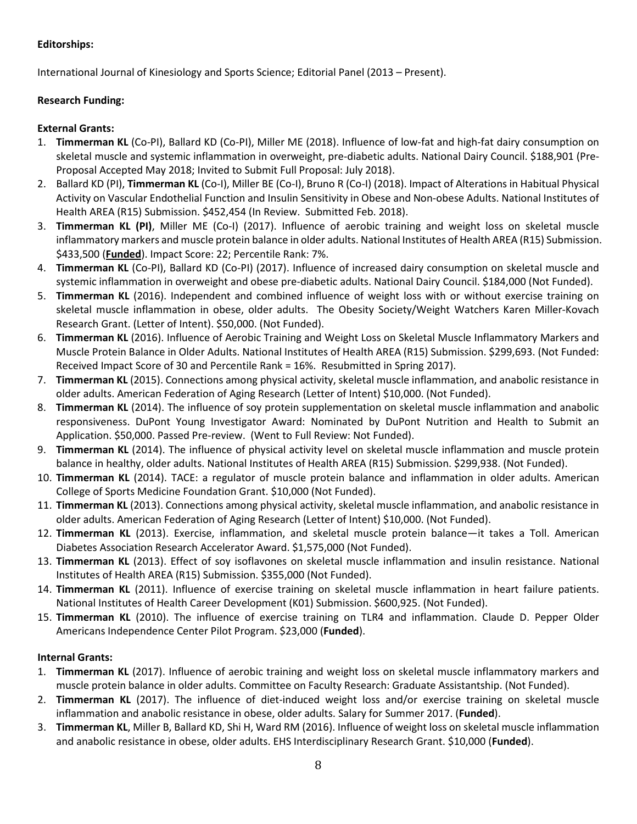# **Editorships:**

International Journal of Kinesiology and Sports Science; Editorial Panel (2013 – Present).

# **Research Funding:**

# **External Grants:**

- 1. **Timmerman KL** (Co-PI), Ballard KD (Co-PI), Miller ME (2018). Influence of low-fat and high-fat dairy consumption on skeletal muscle and systemic inflammation in overweight, pre-diabetic adults. National Dairy Council. \$188,901 (Pre-Proposal Accepted May 2018; Invited to Submit Full Proposal: July 2018).
- 2. Ballard KD (PI), **Timmerman KL** (Co-I), Miller BE (Co-I), Bruno R (Co-I) (2018). Impact of Alterations in Habitual Physical Activity on Vascular Endothelial Function and Insulin Sensitivity in Obese and Non-obese Adults. National Institutes of Health AREA (R15) Submission. \$452,454 (In Review. Submitted Feb. 2018).
- 3. **Timmerman KL (PI)**, Miller ME (Co-I) (2017). Influence of aerobic training and weight loss on skeletal muscle inflammatory markers and muscle protein balance in older adults. National Institutes of Health AREA (R15) Submission. \$433,500 (**Funded**). Impact Score: 22; Percentile Rank: 7%.
- 4. **Timmerman KL** (Co-PI), Ballard KD (Co-PI) (2017). Influence of increased dairy consumption on skeletal muscle and systemic inflammation in overweight and obese pre-diabetic adults. National Dairy Council. \$184,000 (Not Funded).
- 5. **Timmerman KL** (2016). Independent and combined influence of weight loss with or without exercise training on skeletal muscle inflammation in obese, older adults. The Obesity Society/Weight Watchers Karen Miller-Kovach Research Grant. (Letter of Intent). \$50,000. (Not Funded).
- 6. **Timmerman KL** (2016). Influence of Aerobic Training and Weight Loss on Skeletal Muscle Inflammatory Markers and Muscle Protein Balance in Older Adults. National Institutes of Health AREA (R15) Submission. \$299,693. (Not Funded: Received Impact Score of 30 and Percentile Rank = 16%. Resubmitted in Spring 2017).
- 7. **Timmerman KL** (2015). Connections among physical activity, skeletal muscle inflammation, and anabolic resistance in older adults. American Federation of Aging Research (Letter of Intent) \$10,000. (Not Funded).
- 8. **Timmerman KL** (2014). The influence of soy protein supplementation on skeletal muscle inflammation and anabolic responsiveness. DuPont Young Investigator Award: Nominated by DuPont Nutrition and Health to Submit an Application. \$50,000. Passed Pre-review. (Went to Full Review: Not Funded).
- 9. **Timmerman KL** (2014). The influence of physical activity level on skeletal muscle inflammation and muscle protein balance in healthy, older adults. National Institutes of Health AREA (R15) Submission. \$299,938. (Not Funded).
- 10. **Timmerman KL** (2014). TACE: a regulator of muscle protein balance and inflammation in older adults. American College of Sports Medicine Foundation Grant. \$10,000 (Not Funded).
- 11. **Timmerman KL** (2013). Connections among physical activity, skeletal muscle inflammation, and anabolic resistance in older adults. American Federation of Aging Research (Letter of Intent) \$10,000. (Not Funded).
- 12. **Timmerman KL** (2013). Exercise, inflammation, and skeletal muscle protein balance—it takes a Toll. American Diabetes Association Research Accelerator Award. \$1,575,000 (Not Funded).
- 13. **Timmerman KL** (2013). Effect of soy isoflavones on skeletal muscle inflammation and insulin resistance. National Institutes of Health AREA (R15) Submission. \$355,000 (Not Funded).
- 14. **Timmerman KL** (2011). Influence of exercise training on skeletal muscle inflammation in heart failure patients. National Institutes of Health Career Development (K01) Submission. \$600,925. (Not Funded).
- 15. **Timmerman KL** (2010). The influence of exercise training on TLR4 and inflammation. Claude D. Pepper Older Americans Independence Center Pilot Program. \$23,000 (**Funded**).

# **Internal Grants:**

- 1. **Timmerman KL** (2017). Influence of aerobic training and weight loss on skeletal muscle inflammatory markers and muscle protein balance in older adults. Committee on Faculty Research: Graduate Assistantship. (Not Funded).
- 2. **Timmerman KL** (2017). The influence of diet-induced weight loss and/or exercise training on skeletal muscle inflammation and anabolic resistance in obese, older adults. Salary for Summer 2017. (**Funded**).
- 3. **Timmerman KL**, Miller B, Ballard KD, Shi H, Ward RM (2016). Influence of weight loss on skeletal muscle inflammation and anabolic resistance in obese, older adults. EHS Interdisciplinary Research Grant. \$10,000 (**Funded**).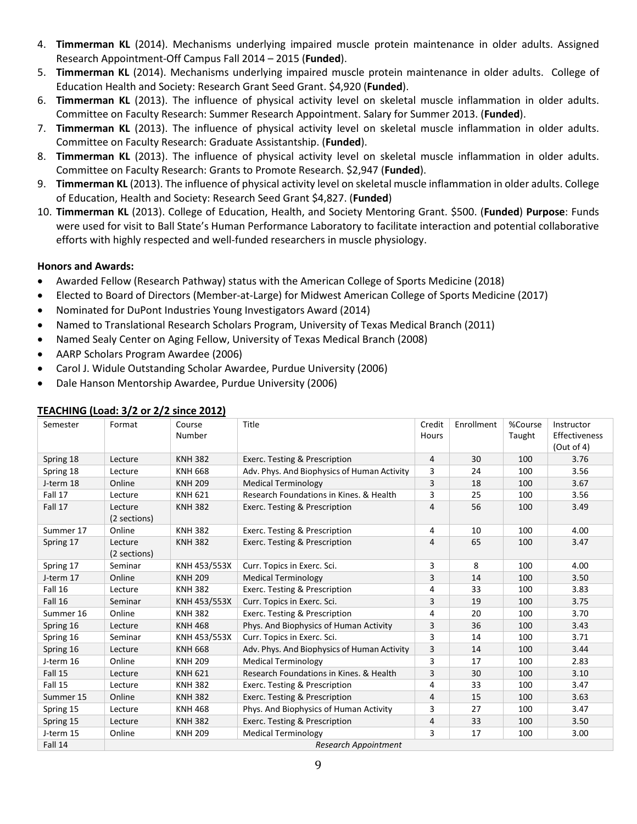- 4. **Timmerman KL** (2014). Mechanisms underlying impaired muscle protein maintenance in older adults. Assigned Research Appointment-Off Campus Fall 2014 – 2015 (**Funded**).
- 5. **Timmerman KL** (2014). Mechanisms underlying impaired muscle protein maintenance in older adults. College of Education Health and Society: Research Grant Seed Grant. \$4,920 (**Funded**).
- 6. **Timmerman KL** (2013). The influence of physical activity level on skeletal muscle inflammation in older adults. Committee on Faculty Research: Summer Research Appointment. Salary for Summer 2013. (**Funded**).
- 7. **Timmerman KL** (2013). The influence of physical activity level on skeletal muscle inflammation in older adults. Committee on Faculty Research: Graduate Assistantship. (**Funded**).
- 8. **Timmerman KL** (2013). The influence of physical activity level on skeletal muscle inflammation in older adults. Committee on Faculty Research: Grants to Promote Research. \$2,947 (**Funded**).
- 9. **Timmerman KL** (2013). The influence of physical activity level on skeletal muscle inflammation in older adults. College of Education, Health and Society: Research Seed Grant \$4,827. (**Funded**)
- 10. **Timmerman KL** (2013). College of Education, Health, and Society Mentoring Grant. \$500. (**Funded**) **Purpose**: Funds were used for visit to Ball State's Human Performance Laboratory to facilitate interaction and potential collaborative efforts with highly respected and well-funded researchers in muscle physiology.

#### **Honors and Awards:**

- Awarded Fellow (Research Pathway) status with the American College of Sports Medicine (2018)
- Elected to Board of Directors (Member-at-Large) for Midwest American College of Sports Medicine (2017)
- Nominated for DuPont Industries Young Investigators Award (2014)
- Named to Translational Research Scholars Program, University of Texas Medical Branch (2011)
- Named Sealy Center on Aging Fellow, University of Texas Medical Branch (2008)
- AARP Scholars Program Awardee (2006)
- Carol J. Widule Outstanding Scholar Awardee, Purdue University (2006)
- Dale Hanson Mentorship Awardee, Purdue University (2006)

| i EAGHING (E000. 3/2 01 2/2 311100 2012) |                             |                  |                                             |                 |            |                   |                                           |  |
|------------------------------------------|-----------------------------|------------------|---------------------------------------------|-----------------|------------|-------------------|-------------------------------------------|--|
| Semester                                 | Format                      | Course<br>Number | Title                                       | Credit<br>Hours | Enrollment | %Course<br>Taught | Instructor<br>Effectiveness<br>(Out of 4) |  |
| Spring 18                                | Lecture                     | <b>KNH 382</b>   | Exerc. Testing & Prescription               | 4               | 30         | 100               | 3.76                                      |  |
| Spring 18                                | Lecture                     | <b>KNH 668</b>   | Adv. Phys. And Biophysics of Human Activity | 3               | 24         | 100               | 3.56                                      |  |
| J-term 18                                | Online                      | <b>KNH 209</b>   | <b>Medical Terminology</b>                  | 3               | 18         | 100               | 3.67                                      |  |
| Fall 17                                  | Lecture                     | <b>KNH 621</b>   | Research Foundations in Kines, & Health     | 3               | 25         | 100               | 3.56                                      |  |
| Fall 17                                  | Lecture                     | <b>KNH 382</b>   | Exerc. Testing & Prescription               | 4               | 56         | 100               | 3.49                                      |  |
|                                          | (2 sections)                |                  |                                             |                 |            |                   |                                           |  |
| Summer 17                                | Online                      | <b>KNH382</b>    | Exerc. Testing & Prescription               | 4               | 10         | 100               | 4.00                                      |  |
| Spring 17                                | Lecture<br>(2 sections)     | <b>KNH 382</b>   | Exerc. Testing & Prescription               | 4               | 65         | 100               | 3.47                                      |  |
| Spring 17                                | Seminar                     | KNH 453/553X     | Curr. Topics in Exerc. Sci.                 | 3               | 8          | 100               | 4.00                                      |  |
| J-term 17                                | Online                      | <b>KNH 209</b>   | <b>Medical Terminology</b>                  | 3               | 14         | 100               | 3.50                                      |  |
| Fall 16                                  | Lecture                     | <b>KNH382</b>    | Exerc. Testing & Prescription               | 4               | 33         | 100               | 3.83                                      |  |
| Fall 16                                  | Seminar                     | KNH 453/553X     | Curr. Topics in Exerc. Sci.                 | 3               | 19         | 100               | 3.75                                      |  |
| Summer 16                                | Online                      | <b>KNH382</b>    | Exerc. Testing & Prescription               | 4               | 20         | 100               | 3.70                                      |  |
| Spring 16                                | Lecture                     | <b>KNH 468</b>   | Phys. And Biophysics of Human Activity      | 3               | 36         | 100               | 3.43                                      |  |
| Spring 16                                | Seminar                     | KNH 453/553X     | Curr. Topics in Exerc. Sci.                 | 3               | 14         | 100               | 3.71                                      |  |
| Spring 16                                | Lecture                     | <b>KNH 668</b>   | Adv. Phys. And Biophysics of Human Activity | 3               | 14         | 100               | 3.44                                      |  |
| J-term 16                                | Online                      | <b>KNH 209</b>   | <b>Medical Terminology</b>                  | 3               | 17         | 100               | 2.83                                      |  |
| Fall 15                                  | Lecture                     | <b>KNH 621</b>   | Research Foundations in Kines, & Health     | 3               | 30         | 100               | 3.10                                      |  |
| Fall 15                                  | Lecture                     | <b>KNH 382</b>   | Exerc. Testing & Prescription               | 4               | 33         | 100               | 3.47                                      |  |
| Summer 15                                | Online                      | <b>KNH382</b>    | Exerc. Testing & Prescription               | 4               | 15         | 100               | 3.63                                      |  |
| Spring 15                                | Lecture                     | <b>KNH 468</b>   | Phys. And Biophysics of Human Activity      | 3               | 27         | 100               | 3.47                                      |  |
| Spring 15                                | Lecture                     | <b>KNH 382</b>   | Exerc. Testing & Prescription               | $\overline{4}$  | 33         | 100               | 3.50                                      |  |
| J-term 15                                | Online                      | <b>KNH 209</b>   | <b>Medical Terminology</b>                  | 3               | 17         | 100               | 3.00                                      |  |
| Fall 14                                  | <b>Research Appointment</b> |                  |                                             |                 |            |                   |                                           |  |

#### **TEACHING (Load: 3/2 or 2/2 since 2012)**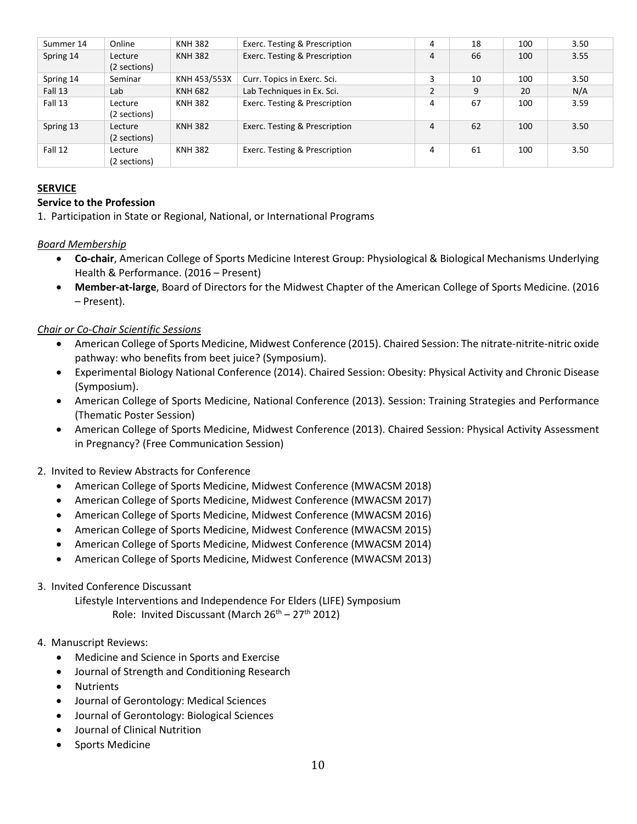| Summer 14 | Online                  | <b>KNH 382</b> | Exerc. Testing & Prescription | 4            | 18 | 100 | 3.50 |
|-----------|-------------------------|----------------|-------------------------------|--------------|----|-----|------|
| Spring 14 | Lecture<br>(2 sections) | <b>KNH 382</b> | Exerc. Testing & Prescription | 4            | 66 | 100 | 3.55 |
| Spring 14 | Seminar                 | KNH 453/553X   | Curr. Topics in Exerc. Sci.   | 3            | 10 | 100 | 3.50 |
| Fall 13   | Lab                     | KNH 682        | Lab Techniques in Ex. Sci.    | <sup>1</sup> | 9  | 20  | N/A  |
| Fall 13   | Lecture<br>(2 sections) | <b>KNH 382</b> | Exerc. Testing & Prescription | 4            | 67 | 100 | 3.59 |
| Spring 13 | Lecture<br>(2 sections) | <b>KNH 382</b> | Exerc. Testing & Prescription | 4            | 62 | 100 | 3.50 |
| Fall 12   | Lecture<br>(2 sections) | <b>KNH 382</b> | Exerc. Testing & Prescription | 4            | 61 | 100 | 3.50 |

# **SERVICE**

# **Service to the Profession**

1. Participation in State or Regional, National, or International Programs

#### *Board Membership*

- **Co-chair**, American College of Sports Medicine Interest Group: Physiological & Biological Mechanisms Underlying Health & Performance. (2016 – Present)
- **Member-at-large**, Board of Directors for the Midwest Chapter of the American College of Sports Medicine. (2016 – Present).

# *Chair or Co-Chair Scientific Sessions*

- American College of Sports Medicine, Midwest Conference (2015). Chaired Session: The nitrate-nitrite-nitric oxide pathway: who benefits from beet juice? (Symposium).
- Experimental Biology National Conference (2014). Chaired Session: Obesity: Physical Activity and Chronic Disease (Symposium).
- American College of Sports Medicine, National Conference (2013). Session: Training Strategies and Performance (Thematic Poster Session)
- American College of Sports Medicine, Midwest Conference (2013). Chaired Session: Physical Activity Assessment in Pregnancy? (Free Communication Session)

# 2. Invited to Review Abstracts for Conference

- American College of Sports Medicine, Midwest Conference (MWACSM 2018)
- American College of Sports Medicine, Midwest Conference (MWACSM 2017)
- American College of Sports Medicine, Midwest Conference (MWACSM 2016)
- American College of Sports Medicine, Midwest Conference (MWACSM 2015)
- American College of Sports Medicine, Midwest Conference (MWACSM 2014)
- American College of Sports Medicine, Midwest Conference (MWACSM 2013)

# 3. Invited Conference Discussant

Lifestyle Interventions and Independence For Elders (LIFE) Symposium Role: Invited Discussant (March  $26<sup>th</sup> - 27<sup>th</sup> 2012$ )

# 4. Manuscript Reviews:

- Medicine and Science in Sports and Exercise
- Journal of Strength and Conditioning Research
- **Nutrients**
- Journal of Gerontology: Medical Sciences
- Journal of Gerontology: Biological Sciences
- Journal of Clinical Nutrition
- Sports Medicine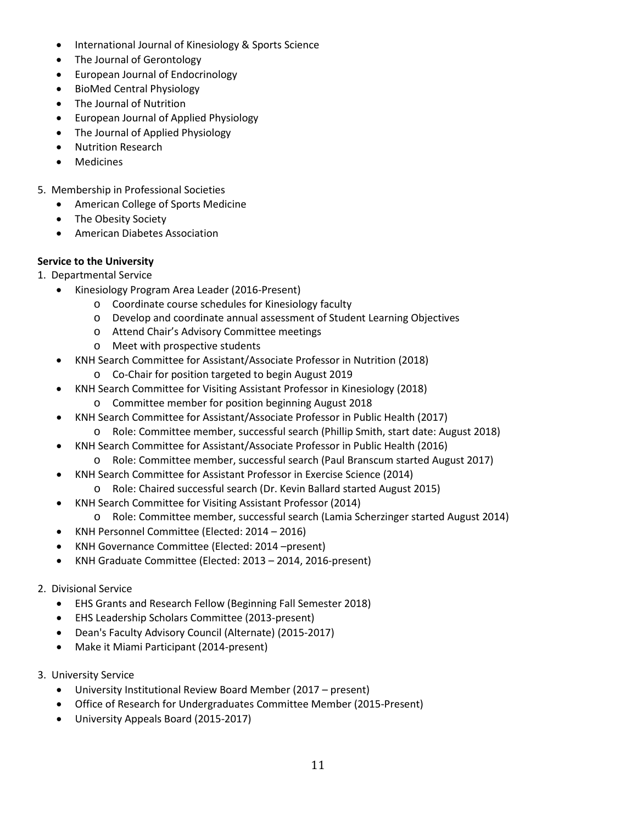- International Journal of Kinesiology & Sports Science
- The Journal of Gerontology
- European Journal of Endocrinology
- BioMed Central Physiology
- The Journal of Nutrition
- European Journal of Applied Physiology
- The Journal of Applied Physiology
- Nutrition Research
- **Medicines**
- 5. Membership in Professional Societies
	- American College of Sports Medicine
	- The Obesity Society
	- American Diabetes Association

# **Service to the University**

- 1. Departmental Service
	- Kinesiology Program Area Leader (2016-Present)
		- o Coordinate course schedules for Kinesiology faculty
		- o Develop and coordinate annual assessment of Student Learning Objectives
		- o Attend Chair's Advisory Committee meetings
		- o Meet with prospective students
		- KNH Search Committee for Assistant/Associate Professor in Nutrition (2018)
			- o Co-Chair for position targeted to begin August 2019
		- KNH Search Committee for Visiting Assistant Professor in Kinesiology (2018)
			- o Committee member for position beginning August 2018
		- KNH Search Committee for Assistant/Associate Professor in Public Health (2017)
			- o Role: Committee member, successful search (Phillip Smith, start date: August 2018)
		- KNH Search Committee for Assistant/Associate Professor in Public Health (2016)
		- o Role: Committee member, successful search (Paul Branscum started August 2017)
		- KNH Search Committee for Assistant Professor in Exercise Science (2014)
			- o Role: Chaired successful search (Dr. Kevin Ballard started August 2015)
		- KNH Search Committee for Visiting Assistant Professor (2014)
			- o Role: Committee member, successful search (Lamia Scherzinger started August 2014)
		- KNH Personnel Committee (Elected: 2014 2016)
		- KNH Governance Committee (Elected: 2014 –present)
		- KNH Graduate Committee (Elected: 2013 2014, 2016-present)
- 2. Divisional Service
	- EHS Grants and Research Fellow (Beginning Fall Semester 2018)
	- EHS Leadership Scholars Committee (2013-present)
	- Dean's Faculty Advisory Council (Alternate) (2015-2017)
	- Make it Miami Participant (2014-present)
- 3. University Service
	- University Institutional Review Board Member (2017 present)
	- Office of Research for Undergraduates Committee Member (2015-Present)
	- University Appeals Board (2015-2017)